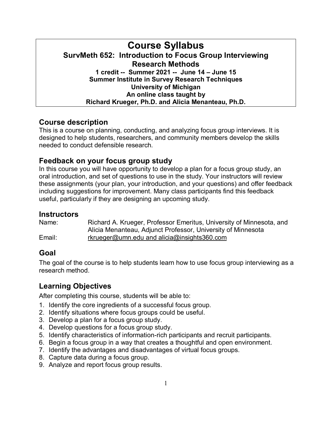# **Course Syllabus SurvMeth 652: Introduction to Focus Group Interviewing Research Methods 1 credit -- Summer 2021 -- June 14 – June 15 Summer Institute in Survey Research Techniques University of Michigan An online class taught by Richard Krueger, Ph.D. and Alicia Menanteau, Ph.D.**

# **Course description**

This is a course on planning, conducting, and analyzing focus group interviews. It is designed to help students, researchers, and community members develop the skills needed to conduct defensible research.

# **Feedback on your focus group study**

In this course you will have opportunity to develop a plan for a focus group study, an oral introduction, and set of questions to use in the study. Your instructors will review these assignments (your plan, your introduction, and your questions) and offer feedback including suggestions for improvement. Many class participants find this feedback useful, particularly if they are designing an upcoming study.

### **Instructors**

Name: Richard A. Krueger, Professor Emeritus, University of Minnesota, and Alicia Menanteau, Adjunct Professor, University of Minnesota Email: [rkrueger@umn.edu](mailto:rkrueger@umn.edu) and alicia@insights360.com

# **Goal**

The goal of the course is to help students learn how to use focus group interviewing as a research method.

# **Learning Objectives**

After completing this course, students will be able to:

- 1. Identify the core ingredients of a successful focus group.
- 2. Identify situations where focus groups could be useful.
- 3. Develop a plan for a focus group study.
- 4. Develop questions for a focus group study.
- 5. Identify characteristics of information-rich participants and recruit participants.
- 6. Begin a focus group in a way that creates a thoughtful and open environment.
- 7. Identify the advantages and disadvantages of virtual focus groups.
- 8. Capture data during a focus group.
- 9. Analyze and report focus group results.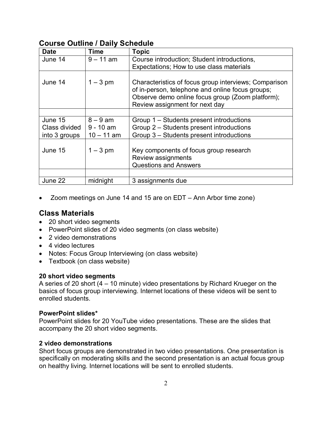## **Course Outline / Daily Schedule**

| <b>Date</b>   | Time         | <b>Topic</b>                                                                                                                                                  |
|---------------|--------------|---------------------------------------------------------------------------------------------------------------------------------------------------------------|
| June 14       | $9 - 11$ am  | Course introduction; Student introductions,                                                                                                                   |
|               |              | Expectations; How to use class materials                                                                                                                      |
| June 14       | $1 - 3$ pm   | Characteristics of focus group interviews; Comparison<br>of in-person, telephone and online focus groups;<br>Observe demo online focus group (Zoom platform); |
|               |              | Review assignment for next day                                                                                                                                |
|               |              |                                                                                                                                                               |
| June 15       | $8 - 9$ am   | Group 1 – Students present introductions                                                                                                                      |
| Class divided | $9 - 10$ am  | Group 2 – Students present introductions                                                                                                                      |
| into 3 groups | $10 - 11$ am | Group 3 - Students present introductions                                                                                                                      |
| June 15       | $1 - 3$ pm   | Key components of focus group research<br>Review assignments<br><b>Questions and Answers</b>                                                                  |
|               |              |                                                                                                                                                               |
| June 22       | midnight     | 3 assignments due                                                                                                                                             |

• Zoom meetings on June 14 and 15 are on EDT – Ann Arbor time zone)

## **Class Materials**

- 20 short video segments
- PowerPoint slides of 20 video segments (on class website)
- 2 video demonstrations
- 4 video lectures
- Notes: Focus Group Interviewing (on class website)
- Textbook (on class website)

### **20 short video segments**

A series of 20 short (4 – 10 minute) video presentations by Richard Krueger on the basics of focus group interviewing. Internet locations of these videos will be sent to enrolled students.

### **PowerPoint slides\***

PowerPoint slides for 20 YouTube video presentations. These are the slides that accompany the 20 short video segments.

### **2 video demonstrations**

Short focus groups are demonstrated in two video presentations. One presentation is specifically on moderating skills and the second presentation is an actual focus group on healthy living. Internet locations will be sent to enrolled students.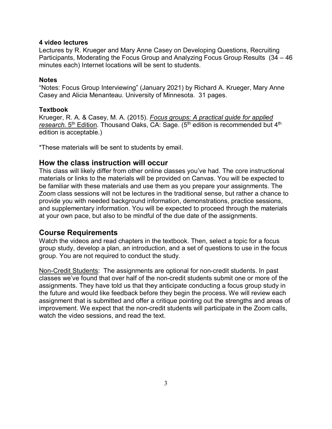### **4 video lectures**

Lectures by R. Krueger and Mary Anne Casey on Developing Questions, Recruiting Participants, Moderating the Focus Group and Analyzing Focus Group Results (34 – 46 minutes each) Internet locations will be sent to students.

### **Notes**

"Notes: Focus Group Interviewing" (January 2021) by Richard A. Krueger, Mary Anne Casey and Alicia Menanteau. University of Minnesota. 31 pages.

### **Textbook**

Krueger, R. A. & Casey, M. A. (2015). *Focus groups: A practical guide for applied*  research. 5<sup>th</sup> Edition. Thousand Oaks, CA: Sage. (5<sup>th</sup> edition is recommended but 4<sup>th</sup> edition is acceptable.)

\*These materials will be sent to students by email.

### **How the class instruction will occur**

This class will likely differ from other online classes you've had. The core instructional materials or links to the materials will be provided on Canvas. You will be expected to be familiar with these materials and use them as you prepare your assignments. The Zoom class sessions will not be lectures in the traditional sense, but rather a chance to provide you with needed background information, demonstrations, practice sessions, and supplementary information. You will be expected to proceed through the materials at your own pace, but also to be mindful of the due date of the assignments.

### **Course Requirements**

Watch the videos and read chapters in the textbook. Then, select a topic for a focus group study, develop a plan, an introduction, and a set of questions to use in the focus group. You are not required to conduct the study.

Non-Credit Students: The assignments are optional for non-credit students. In past classes we've found that over half of the non-credit students submit one or more of the assignments. They have told us that they anticipate conducting a focus group study in the future and would like feedback before they begin the process. We will review each assignment that is submitted and offer a critique pointing out the strengths and areas of improvement. We expect that the non-credit students will participate in the Zoom calls, watch the video sessions, and read the text.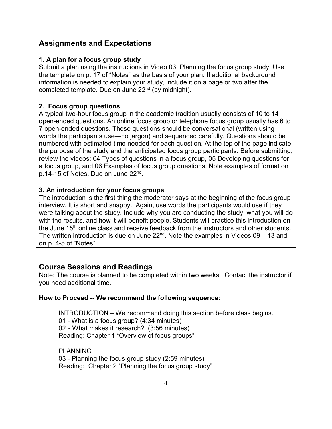## **Assignments and Expectations**

### **1. A plan for a focus group study**

Submit a plan using the instructions in Video 03: Planning the focus group study. Use the template on p. 17 of "Notes" as the basis of your plan. If additional background information is needed to explain your study, include it on a page or two after the completed template. Due on June 22<sup>nd</sup> (by midnight).

### **2. Focus group questions**

A typical two-hour focus group in the academic tradition usually consists of 10 to 14 open-ended questions. An online focus group or telephone focus group usually has 6 to 7 open-ended questions. These questions should be conversational (written using words the participants use—no jargon) and sequenced carefully. Questions should be numbered with estimated time needed for each question. At the top of the page indicate the purpose of the study and the anticipated focus group participants. Before submitting, review the videos: 04 Types of questions in a focus group, 05 Developing questions for a focus group, and 06 Examples of focus group questions. Note examples of format on p.14-15 of Notes. Due on June 22nd.

### **3. An introduction for your focus groups**

The introduction is the first thing the moderator says at the beginning of the focus group interview. It is short and snappy. Again, use words the participants would use if they were talking about the study. Include why you are conducting the study, what you will do with the results, and how it will benefit people. Students will practice this introduction on the June 15<sup>th</sup> online class and receive feedback from the instructors and other students. The written introduction is due on June  $22<sup>nd</sup>$ . Note the examples in Videos 09 – 13 and on p. 4-5 of "Notes".

### **Course Sessions and Readings**

Note: The course is planned to be completed within two weeks. Contact the instructor if you need additional time.

### **How to Proceed -- We recommend the following sequence:**

INTRODUCTION – We recommend doing this section before class begins. 01 - What is a focus group? (4:34 minutes) 02 - What makes it research? (3:56 minutes) Reading: Chapter 1 "Overview of focus groups"

PI ANNING 03 - Planning the focus group study (2:59 minutes) Reading: Chapter 2 "Planning the focus group study"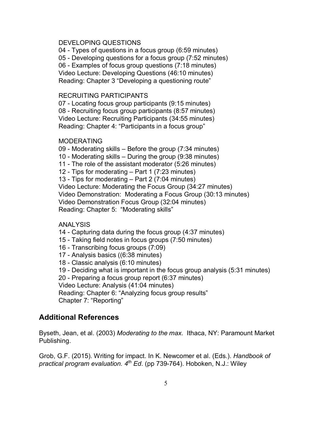#### DEVELOPING QUESTIONS

04 - Types of questions in a focus group (6:59 minutes) 05 - Developing questions for a focus group (7:52 minutes) 06 - Examples of focus group questions (7:18 minutes) Video Lecture: Developing Questions (46:10 minutes) Reading: Chapter 3 "Developing a questioning route"

#### RECRUITING PARTICIPANTS

07 - Locating focus group participants (9:15 minutes) 08 - Recruiting focus group participants (8:57 minutes) Video Lecture: Recruiting Participants (34:55 minutes) Reading: Chapter 4: "Participants in a focus group"

#### **MODERATING**

09 - Moderating skills – Before the group (7:34 minutes) 10 - Moderating skills – During the group (9:38 minutes) 11 - The role of the assistant moderator (5:26 minutes) 12 - Tips for moderating – Part 1 (7:23 minutes) 13 - Tips for moderating – Part 2 (7:04 minutes) Video Lecture: Moderating the Focus Group (34:27 minutes) Video Demonstration: Moderating a Focus Group (30:13 minutes) Video Demonstration Focus Group (32:04 minutes) Reading: Chapter 5: "Moderating skills"

#### ANALYSIS

14 - Capturing data during the focus group (4:37 minutes)

- 15 Taking field notes in focus groups (7:50 minutes)
- 16 Transcribing focus groups (7:09)
- 17 Analysis basics ((6:38 minutes)
- 18 Classic analysis (6:10 minutes)
- 19 Deciding what is important in the focus group analysis (5:31 minutes)

20 - Preparing a focus group report (6:37 minutes)

Video Lecture: Analysis (41:04 minutes)

Reading: Chapter 6: "Analyzing focus group results" Chapter 7: "Reporting"

### **Additional References**

Byseth, Jean, et al. (2003) *Moderating to the max*. Ithaca, NY: Paramount Market Publishing.

Grob, G.F. (2015). Writing for impact. In K. Newcomer et al. (Eds.). *Handbook of practical program evaluation. 4th Ed*. (pp 739-764). Hoboken, N.J.: Wiley